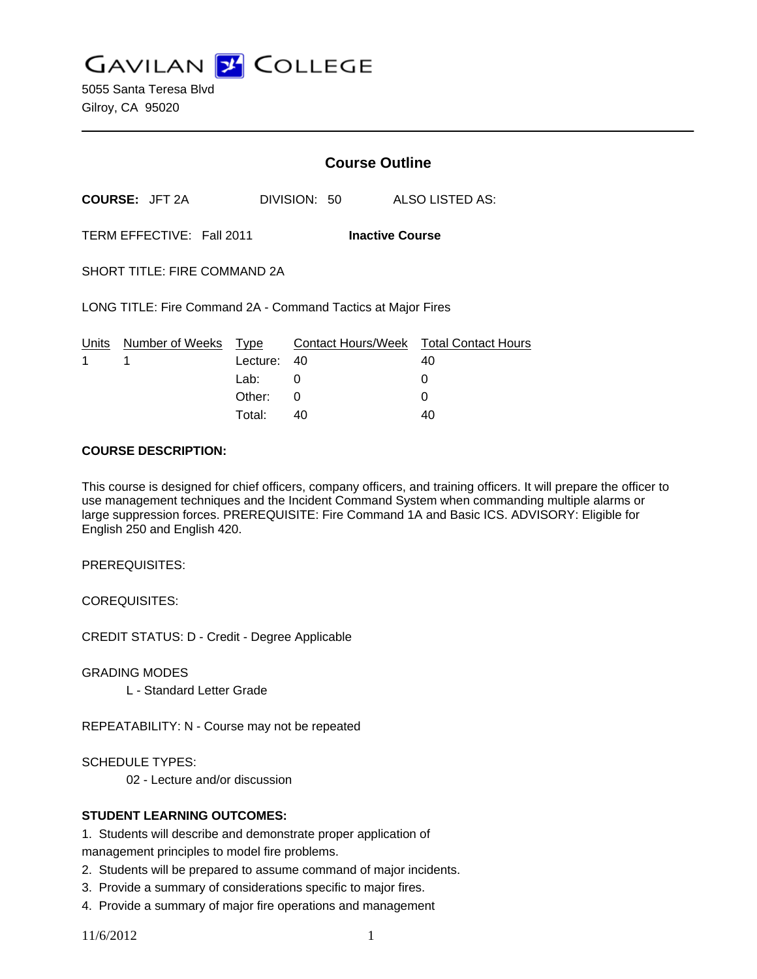**GAVILAN Z COLLEGE** 

5055 Santa Teresa Blvd Gilroy, CA 95020

|                                                     |                                                              |             | <b>Course Outline</b> |                                              |  |
|-----------------------------------------------------|--------------------------------------------------------------|-------------|-----------------------|----------------------------------------------|--|
|                                                     | <b>COURSE: JFT 2A</b>                                        |             | DIVISION: 50          | ALSO LISTED AS:                              |  |
| TERM EFFECTIVE: Fall 2011<br><b>Inactive Course</b> |                                                              |             |                       |                                              |  |
| <b>SHORT TITLE: FIRE COMMAND 2A</b>                 |                                                              |             |                       |                                              |  |
|                                                     | LONG TITLE: Fire Command 2A - Command Tactics at Major Fires |             |                       |                                              |  |
| 1                                                   | Units Number of Weeks Type<br>1                              | Lecture: 40 |                       | Contact Hours/Week Total Contact Hours<br>40 |  |
|                                                     |                                                              | Lab: __     | 0                     | 0                                            |  |
|                                                     |                                                              | Other:      | 0                     | 0                                            |  |
|                                                     |                                                              | Total:      | 40                    | 40                                           |  |

#### **COURSE DESCRIPTION:**

This course is designed for chief officers, company officers, and training officers. It will prepare the officer to use management techniques and the Incident Command System when commanding multiple alarms or large suppression forces. PREREQUISITE: Fire Command 1A and Basic ICS. ADVISORY: Eligible for English 250 and English 420.

PREREQUISITES:

COREQUISITES:

CREDIT STATUS: D - Credit - Degree Applicable

GRADING MODES

L - Standard Letter Grade

REPEATABILITY: N - Course may not be repeated

SCHEDULE TYPES:

02 - Lecture and/or discussion

#### **STUDENT LEARNING OUTCOMES:**

1. Students will describe and demonstrate proper application of management principles to model fire problems.

- 2. Students will be prepared to assume command of major incidents.
- 3. Provide a summary of considerations specific to major fires.
- 4. Provide a summary of major fire operations and management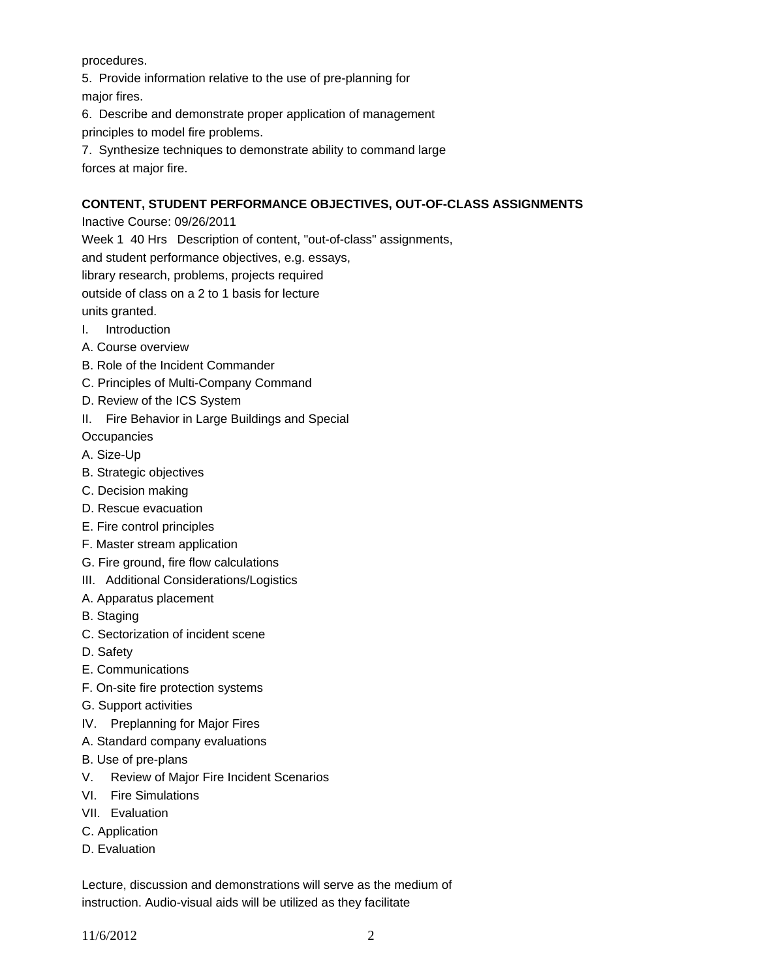procedures.

5. Provide information relative to the use of pre-planning for major fires.

6. Describe and demonstrate proper application of management principles to model fire problems.

7. Synthesize techniques to demonstrate ability to command large forces at major fire.

# **CONTENT, STUDENT PERFORMANCE OBJECTIVES, OUT-OF-CLASS ASSIGNMENTS**

Inactive Course: 09/26/2011

Week 1 40 Hrs Description of content, "out-of-class" assignments,

and student performance objectives, e.g. essays,

library research, problems, projects required

outside of class on a 2 to 1 basis for lecture

units granted.

- I. Introduction
- A. Course overview
- B. Role of the Incident Commander
- C. Principles of Multi-Company Command
- D. Review of the ICS System
- II. Fire Behavior in Large Buildings and Special

**Occupancies** 

- A. Size-Up
- B. Strategic objectives
- C. Decision making
- D. Rescue evacuation
- E. Fire control principles
- F. Master stream application
- G. Fire ground, fire flow calculations
- III. Additional Considerations/Logistics
- A. Apparatus placement
- B. Staging
- C. Sectorization of incident scene
- D. Safety
- E. Communications
- F. On-site fire protection systems
- G. Support activities
- IV. Preplanning for Major Fires
- A. Standard company evaluations
- B. Use of pre-plans
- V. Review of Major Fire Incident Scenarios
- VI. Fire Simulations
- VII. Evaluation
- C. Application
- D. Evaluation

Lecture, discussion and demonstrations will serve as the medium of instruction. Audio-visual aids will be utilized as they facilitate